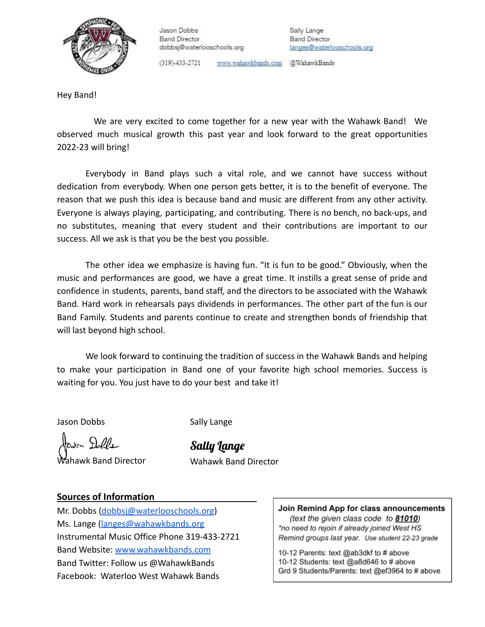

Jason Dobbs **Band Director** dobbsj@waterlooschools.org Sally Lange **Band Director** langes@waterlooschools.org

 $(319) - 433 - 2721$ 

www.wahawkbands.com @WahawkBands

Hey Band!

We are very excited to come together for a new year with the Wahawk Band! We observed much musical growth this past year and look forward to the great opportunities 2022-23 will bring!

Everybody in Band plays such a vital role, and we cannot have success without dedication from everybody. When one person gets better, it is to the benefit of everyone. The reason that we push this idea is because band and music are different from any other activity. Everyone is always playing, participating, and contributing. There is no bench, no back-ups, and no substitutes, meaning that every student and their contributions are important to our success. All we ask is that you be the best you possible.

The other idea we emphasize is having fun. "It is fun to be good." Obviously, when the music and performances are good, we have a great time. It instills a great sense of pride and confidence in students, parents, band staff, and the directors to be associated with the Wahawk Band. Hard work in rehearsals pays dividends in performances. The other part of the fun is our Band Family. Students and parents continue to create and strengthen bonds of friendship that will last beyond high school.

We look forward to continuing the tradition of success in the Wahawk Bands and helping to make your participation in Band one of your favorite high school memories. Success is waiting for you. You just have to do your best and take it!

Jason Dobbs

Sally Lange

Hawin Dolle Wahawk Band Director

Sally Lange

Wahawk Band Director

#### **Sources of Information**

Mr. Dobbs [\(dobbsj@waterlooschools.org](mailto:dobbsj@waterlooschools.org)) Ms. Lange ([langes@wahawkbands.org](mailto:langes@wahawkbands.org) Instrumental Music Office Phone 319-433-2721 Band Website: [www.wahawkbands.com](http://www.wahawkbands.com) Band Twitter: Follow us @WahawkBands Facebook: Waterloo West Wahawk Bands

Join Remind App for class announcements (text the given class code to 81010) \*no need to rejoin if already joined West HS Remind groups last year. Use student 22-23 grade

10-12 Parents: text @ab3dkf to # above 10-12 Students: text @a8d646 to # above Grd 9 Students/Parents: text @ef3964 to # above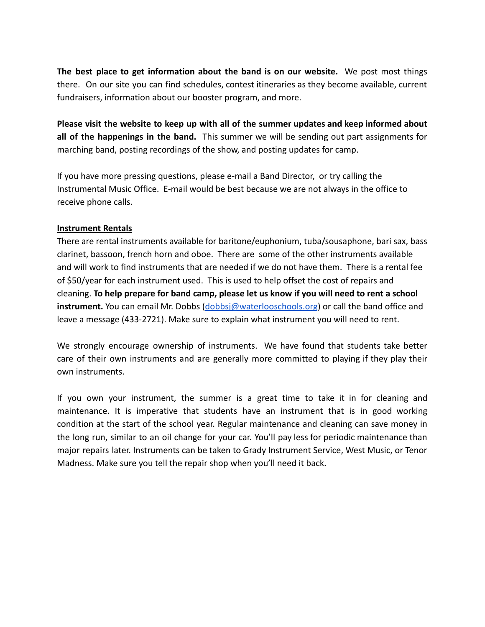**The best place to get information about the band is on our website.** We post most things there. On our site you can find schedules, contest itineraries as they become available, current fundraisers, information about our booster program, and more.

**Please visit the website to keep up with all of the summer updates and keep informed about all of the happenings in the band.** This summer we will be sending out part assignments for marching band, posting recordings of the show, and posting updates for camp.

If you have more pressing questions, please e-mail a Band Director, or try calling the Instrumental Music Office. E-mail would be best because we are not always in the office to receive phone calls.

#### **Instrument Rentals**

There are rental instruments available for baritone/euphonium, tuba/sousaphone, bari sax, bass clarinet, bassoon, french horn and oboe. There are some of the other instruments available and will work to find instruments that are needed if we do not have them. There is a rental fee of \$50/year for each instrument used. This is used to help offset the cost of repairs and cleaning. **To help prepare for band camp, please let us know if you will need to rent a school instrument.** You can email Mr. Dobbs (dobbsi@waterlooschools.org) or call the band office and leave a message (433-2721). Make sure to explain what instrument you will need to rent.

We strongly encourage ownership of instruments. We have found that students take better care of their own instruments and are generally more committed to playing if they play their own instruments.

If you own your instrument, the summer is a great time to take it in for cleaning and maintenance. It is imperative that students have an instrument that is in good working condition at the start of the school year. Regular maintenance and cleaning can save money in the long run, similar to an oil change for your car. You'll pay less for periodic maintenance than major repairs later. Instruments can be taken to Grady Instrument Service, West Music, or Tenor Madness. Make sure you tell the repair shop when you'll need it back.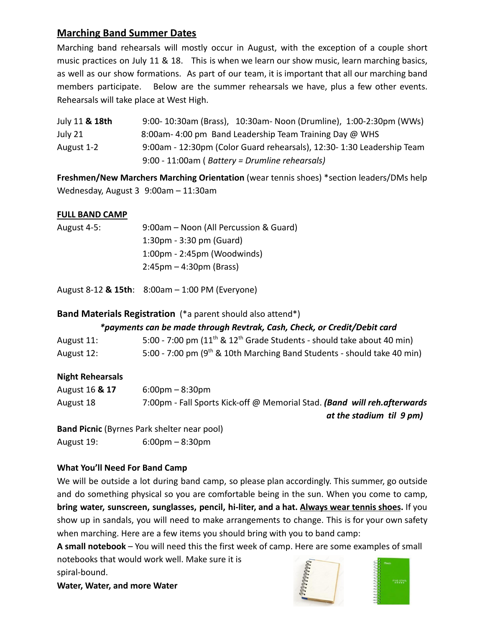# **Marching Band Summer Dates**

Marching band rehearsals will mostly occur in August, with the exception of a couple short music practices on July 11 & 18. This is when we learn our show music, learn marching basics, as well as our show formations. As part of our team, it is important that all our marching band members participate. Below are the summer rehearsals we have, plus a few other events. Rehearsals will take place at West High.

| July 11 & 18th | 9:00-10:30am (Brass), 10:30am- Noon (Drumline), 1:00-2:30pm (WWs)      |
|----------------|------------------------------------------------------------------------|
| July 21        | 8:00am-4:00 pm Band Leadership Team Training Day @ WHS                 |
| August 1-2     | 9:00am - 12:30pm (Color Guard rehearsals), 12:30- 1:30 Leadership Team |
|                | 9:00 - 11:00am (Battery = Drumline rehearsals)                         |

**Freshmen/New Marchers Marching Orientation** (wear tennis shoes) \*section leaders/DMs help Wednesday, August 3 9:00am – 11:30am

#### **FULL BAND CAMP**

| August 4-5: | 9:00am – Noon (All Percussion & Guard)          |
|-------------|-------------------------------------------------|
|             | 1:30pm $-$ 3:30 pm (Guard)                      |
|             | $1:00 \text{pm}$ - 2:45 $\text{pm}$ (Woodwinds) |
|             | $2:45 \text{pm} - 4:30 \text{pm}$ (Brass)       |
|             |                                                 |

August 8-12 **& 15th**: 8:00am – 1:00 PM (Everyone)

## **Band Materials Registration** (\*a parent should also attend\*)

| August 11: | 5:00 - 7:00 pm $(11th$ & $12th$ Grade Students - should take about 40 min) |
|------------|----------------------------------------------------------------------------|
| August 12: | 5:00 - 7:00 pm ( $9th$ & 10th Marching Band Students - should take 40 min) |

## **Night Rehearsals**

| August 16 & 17 | $6:00 \text{pm} - 8:30 \text{pm}$                                        |
|----------------|--------------------------------------------------------------------------|
| August 18      | 7:00pm - Fall Sports Kick-off @ Memorial Stad. (Band will reh.afterwards |
|                | at the stadium til 9 pm)                                                 |
|                | <b>Band Picnic</b> (Byrnes Park shelter near pool)                       |

August 19: 6:00pm – 8:30pm

## **What You'll Need For Band Camp**

We will be outside a lot during band camp, so please plan accordingly. This summer, go outside and do something physical so you are comfortable being in the sun. When you come to camp, **bring water, sunscreen, sunglasses, pencil, hi-liter, and a hat. Always wear tennis shoes.** If you show up in sandals, you will need to make arrangements to change. This is for your own safety when marching. Here are a few items you should bring with you to band camp:

**A small notebook** – You will need this the first week of camp. Here are some examples of small notebooks that would work well. Make sure it is

spiral-bound.

**Water, Water, and more Water**